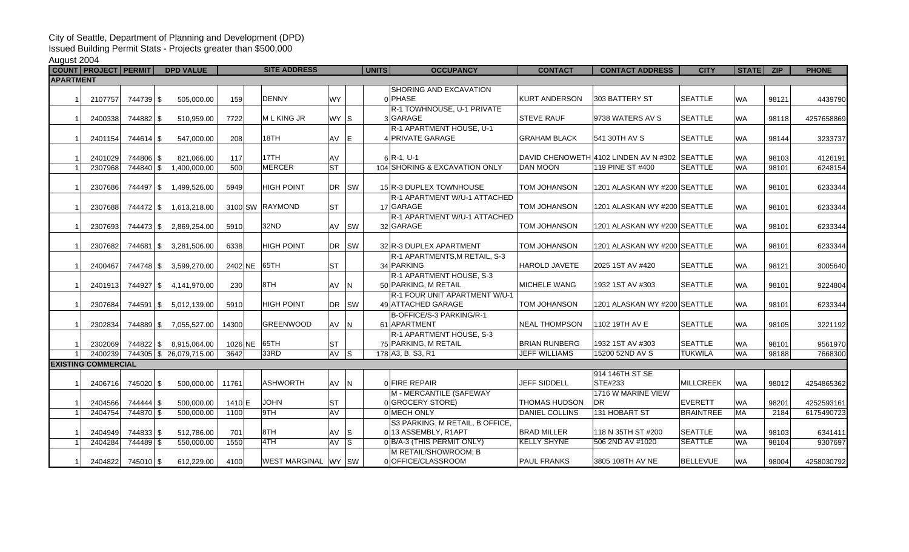## City of Seattle, Department of Planning and Development (DPD)

Issued Building Permit Stats - Projects greater than \$500,000

August 2004

|                  |  | COUNT PROJECT PERMIT       |                   | <b>DPD VALUE</b>       |              | <b>SITE ADDRESS</b>  |           |     | <b>UNITS</b><br><b>OCCUPANCY</b> | <b>CONTACT</b>       | <b>CONTACT ADDRESS</b>                        | <b>CITY</b>      | STATE   ZIP |       | <b>PHONE</b> |
|------------------|--|----------------------------|-------------------|------------------------|--------------|----------------------|-----------|-----|----------------------------------|----------------------|-----------------------------------------------|------------------|-------------|-------|--------------|
| <b>APARTMENT</b> |  |                            |                   |                        |              |                      |           |     |                                  |                      |                                               |                  |             |       |              |
|                  |  |                            |                   |                        |              |                      |           |     | SHORING AND EXCAVATION           |                      |                                               |                  |             |       |              |
|                  |  | 2107757                    | 744739 \$         | 505.000.00             | 159          | <b>DENNY</b>         | <b>WY</b> |     | 0 PHASE                          | <b>KURT ANDERSON</b> | 303 BATTERY ST                                | <b>SEATTLE</b>   | <b>WA</b>   | 98121 | 4439790      |
|                  |  |                            |                   |                        |              |                      |           |     | R-1 TOWHNOUSE, U-1 PRIVATE       |                      |                                               |                  |             |       |              |
|                  |  | 2400338                    | 744882 \$         | 510,959.00             | 7722         | M L KING JR          | WY S      |     | 3 GARAGE                         | <b>STEVE RAUF</b>    | 9738 WATERS AV S                              | <b>SEATTLE</b>   | <b>WA</b>   | 98118 | 4257658869   |
|                  |  |                            |                   |                        |              |                      |           |     | R-1 APARTMENT HOUSE, U-1         |                      |                                               |                  |             |       |              |
|                  |  | 2401154                    | 744614 \$         | 547,000.00             | 208          | 18TH                 | AV E      |     | 4 PRIVATE GARAGE                 | <b>GRAHAM BLACK</b>  | 541 30TH AV S                                 | <b>SEATTLE</b>   | <b>WA</b>   | 98144 | 3233737      |
|                  |  |                            |                   |                        |              |                      |           |     |                                  |                      |                                               |                  |             |       |              |
|                  |  | 2401029                    | 744806 \$         | 821,066.00             | 117          | 17TH                 | AV        |     | $6$ R-1, U-1                     |                      | DAVID CHENOWETH 4102 LINDEN AV N #302 SEATTLE |                  | <b>WA</b>   | 98103 | 4126191      |
|                  |  | 2307968                    | 744840 \$         | 1,400,000.00           | 500          | <b>MERCER</b>        | <b>ST</b> |     | 104 SHORING & EXCAVATION ONLY    | <b>DAN MOON</b>      | 119 PINE ST #400                              | <b>SEATTLE</b>   | <b>WA</b>   | 98101 | 6248154      |
|                  |  |                            |                   |                        |              |                      |           |     |                                  |                      |                                               |                  |             |       |              |
|                  |  | 2307686                    |                   | 744497 \$ 1,499,526.00 | 5949         | <b>HIGH POINT</b>    | DR SW     |     | 15 R-3 DUPLEX TOWNHOUSE          | TOM JOHANSON         | 1201 ALASKAN WY #200 SEATTLE                  |                  | <b>WA</b>   | 98101 | 6233344      |
|                  |  |                            |                   |                        |              |                      |           |     | R-1 APARTMENT W/U-1 ATTACHED     |                      |                                               |                  |             |       |              |
|                  |  | 2307688                    |                   | 744472 \$ 1,613,218.00 |              | 3100 SW RAYMOND      | <b>ST</b> |     | 17 GARAGE                        | TOM JOHANSON         | 1201 ALASKAN WY #200 SEATTLE                  |                  | <b>WA</b>   | 98101 | 6233344      |
|                  |  |                            |                   |                        |              |                      |           |     | R-1 APARTMENT W/U-1 ATTACHED     |                      |                                               |                  |             |       |              |
|                  |  | 2307693                    |                   | 744473 \$ 2,869,254.00 | 5910         | 32ND                 | AV SW     |     | 32 GARAGE                        | TOM JOHANSON         | 1201 ALASKAN WY #200 SEATTLE                  |                  | <b>WA</b>   | 98101 | 6233344      |
|                  |  |                            |                   |                        |              |                      |           |     |                                  |                      |                                               |                  |             |       |              |
|                  |  | 2307682                    |                   | 744681 \$ 3,281,506.00 | 6338         | <b>HIGH POINT</b>    | DR SW     |     | 32 R-3 DUPLEX APARTMENT          | <b>TOM JOHANSON</b>  | 1201 ALASKAN WY #200 SEATTLE                  |                  | <b>WA</b>   | 98101 | 6233344      |
|                  |  |                            |                   |                        |              |                      |           |     | R-1 APARTMENTS, M RETAIL, S-3    |                      |                                               |                  |             |       |              |
|                  |  | 2400467                    |                   | 744748 \$ 3,599,270.00 | 2402 NE 65TH |                      | <b>ST</b> |     | 34 PARKING                       | <b>HAROLD JAVETE</b> | 2025 1ST AV #420                              | <b>SEATTLE</b>   | <b>WA</b>   | 98121 | 3005640      |
|                  |  |                            |                   |                        |              |                      |           |     | R-1 APARTMENT HOUSE, S-3         |                      |                                               |                  |             |       |              |
|                  |  | 2401913                    |                   | 744927 \$4,141,970.00  | 230          | 8TH                  | AV        | IN. | 50 PARKING. M RETAIL             | <b>MICHELE WANG</b>  | 1932 1ST AV #303                              | <b>SEATTLE</b>   | <b>WA</b>   | 98101 | 9224804      |
|                  |  |                            |                   |                        |              |                      |           |     | R-1 FOUR UNIT APARTMENT W/U-1    |                      |                                               |                  |             |       |              |
|                  |  | 2307684                    |                   | 744591 \$ 5,012,139.00 | 5910         | <b>HIGH POINT</b>    | DR SW     |     | 49 ATTACHED GARAGE               | <b>TOM JOHANSON</b>  | 1201 ALASKAN WY #200 SEATTLE                  |                  | <b>WA</b>   | 98101 | 6233344      |
|                  |  |                            |                   |                        |              |                      |           |     | B-OFFICE/S-3 PARKING/R-1         |                      |                                               |                  |             |       |              |
|                  |  | 2302834                    |                   | 744889 \$7,055,527.00  | 14300        | <b>GREENWOOD</b>     | AV N      |     | 61 APARTMENT                     | <b>NEAL THOMPSON</b> | 1102 19TH AV E                                | <b>SEATTLE</b>   | <b>WA</b>   | 98105 | 3221192      |
|                  |  |                            |                   |                        |              |                      |           |     | R-1 APARTMENT HOUSE, S-3         |                      |                                               |                  |             |       |              |
|                  |  | 2302069                    |                   | 744822 \$ 8,915,064.00 | 1026 NE 65TH |                      | ST        |     | 75 PARKING, M RETAIL             | <b>BRIAN RUNBERG</b> | 1932 1ST AV #303                              | <b>SEATTLE</b>   | <b>WA</b>   | 98101 | 9561970      |
|                  |  | 2400239                    |                   | 744305 \$26,079,715.00 | 3642         | 33RD                 | AV S      |     | 178 A3, B, S3, R1                | <b>JEFF WILLIAMS</b> | 15200 52ND AV S                               | <b>TUKWILA</b>   | <b>WA</b>   | 98188 | 7668300      |
|                  |  | <b>EXISTING COMMERCIAL</b> |                   |                        |              |                      |           |     |                                  |                      |                                               |                  |             |       |              |
|                  |  |                            |                   |                        |              |                      |           |     |                                  |                      | 914 146TH ST SE                               |                  |             |       |              |
|                  |  | 2406716                    | 745020 \$         | 500,000.00             | 11761        | <b>ASHWORTH</b>      | AV N      |     | 0 FIRE REPAIR                    | JEFF SIDDELL         | STE#233                                       | <b>MILLCREEK</b> | <b>WA</b>   | 98012 | 4254865362   |
|                  |  |                            |                   |                        |              |                      |           |     | M - MERCANTILE (SAFEWAY          |                      | 1716 W MARINE VIEW                            |                  |             |       |              |
|                  |  | 2404566                    | 744444 \$         | 500,000.00             | 1410E        | <b>JOHN</b>          | <b>ST</b> |     | 0 GROCERY STORE)                 | <b>THOMAS HUDSON</b> | <b>DR</b>                                     | EVERETT          | <b>WA</b>   | 98201 | 4252593161   |
|                  |  | 2404754                    | 744870 \$         | 500,000.00             | 1100         | 9TH                  | <b>AV</b> |     | 0 MECH ONLY                      | DANIEL COLLINS       | 131 HOBART ST                                 | <b>BRAINTREE</b> | <b>MA</b>   | 2184  | 6175490723   |
|                  |  |                            |                   |                        |              |                      |           |     | S3 PARKING, M RETAIL, B OFFICE,  |                      |                                               |                  |             |       |              |
|                  |  | 2404949                    | 744833 \$         | 512,786.00             | 701          | 8TH                  | AV        | - S | 0 13 ASSEMBLY, R1APT             | <b>BRAD MILLER</b>   | 118 N 35TH ST #200                            | <b>SEATTLE</b>   | <b>WA</b>   | 98103 | 6341411      |
|                  |  | 2404284                    | 744489 \$         | 550,000.00             | 1550         | 4TH                  | AV S      |     | 0 B/A-3 (THIS PERMIT ONLY)       | <b>KELLY SHYNE</b>   | 506 2ND AV #1020                              | <b>SEATTLE</b>   | <b>WA</b>   | 98104 | 9307697      |
|                  |  |                            |                   |                        |              |                      |           |     | M RETAIL/SHOWROOM; B             |                      |                                               |                  |             |       |              |
|                  |  |                            | 2404822 745010 \$ | 612,229.00             | 4100         | WEST MARGINAL WY ISW |           |     | 0 OFFICE/CLASSROOM               | <b>PAUL FRANKS</b>   | 3805 108TH AV NE                              | <b>BELLEVUE</b>  | <b>WA</b>   | 98004 | 4258030792   |